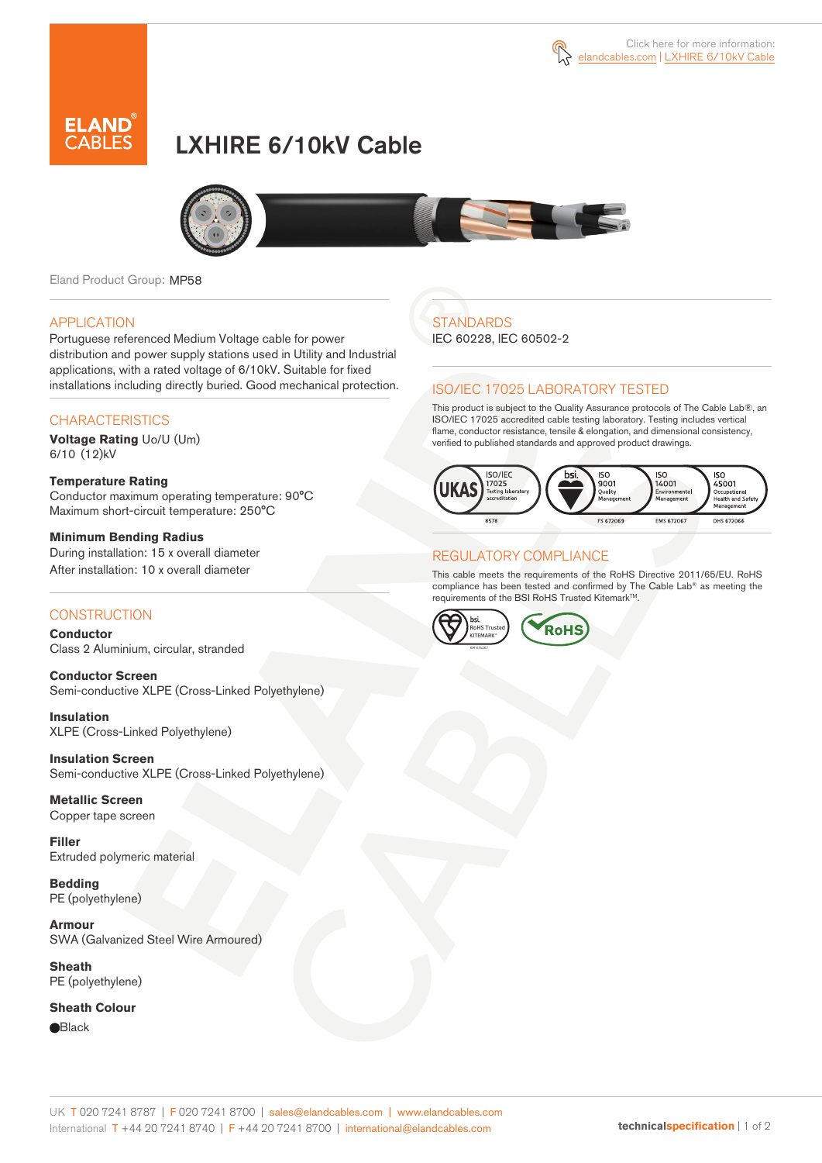



# LXHIRE 6/10kV Cable



Eland Product Group: MP58

#### APPLICATION

Portuguese referenced Medium Voltage cable for power distribution and power supply stations used in Utility and Industrial applications, with a rated voltage of 6/10kV. Suitable for fixed installations including directly buried. Good mechanical protection.

### **CHARACTERISTICS**

**Voltage Rating** Uo/U (Um) 6/10 (12)kV

**Temperature Rating**  Conductor maximum operating temperature: 90°C Maximum short-circuit temperature: 250°C

**Minimum Bending Radius**  During installation: 15 x overall diameter After installation: 10 x overall diameter

### **CONSTRUCTION**

**Conductor**  Class 2 Aluminium, circular, stranded

**Conductor Screen** Semi-conductive XLPE (Cross-Linked Polyethylene)

**Insulation** XLPE (Cross-Linked Polyethylene)

**Insulation Screen** Semi-conductive XLPE (Cross-Linked Polyethylene)

**Metallic Screen**  Copper tape screen

**Filler** Extruded polymeric material

**Bedding** PE (polyethylene)

**Armour** SWA (Galvanized Steel Wire Armoured)

**Sheath** PE (polyethylene)

**Sheath Colour Black** 

## **STANDARDS**

IEC 60228, IEC 60502-2

### ISO/IEC 17025 LABORATORY TESTED

This product is subject to the Quality Assurance protocols of The Cable Lab®, an ISO/IEC 17025 accredited cable testing laboratory. Testing includes vertical flame, conductor resistance, tensile & elongation, and dimensional consistency, verified to published standards and approved product drawings.



### REGULATORY COMPLIANCE

This cable meets the requirements of the RoHS Directive 2011/65/EU. RoHS compliance has been tested and confirmed by The Cable Lab® as meeting the requirements of the BSI RoHS Trusted Kitemark™.